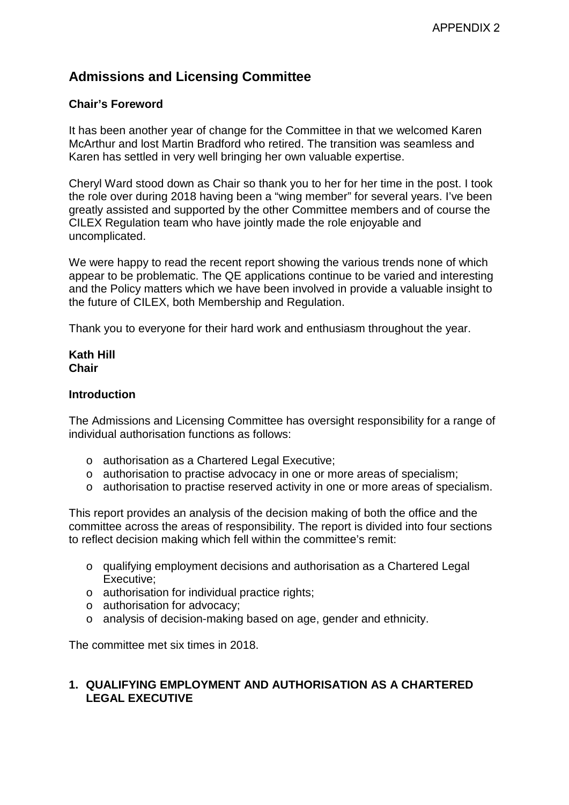# **Admissions and Licensing Committee**

### **Chair's Foreword**

It has been another year of change for the Committee in that we welcomed Karen McArthur and lost Martin Bradford who retired. The transition was seamless and Karen has settled in very well bringing her own valuable expertise.

Cheryl Ward stood down as Chair so thank you to her for her time in the post. I took the role over during 2018 having been a "wing member" for several years. I've been greatly assisted and supported by the other Committee members and of course the CILEX Regulation team who have jointly made the role enjoyable and uncomplicated.

We were happy to read the recent report showing the various trends none of which appear to be problematic. The QE applications continue to be varied and interesting and the Policy matters which we have been involved in provide a valuable insight to the future of CILEX, both Membership and Regulation.

Thank you to everyone for their hard work and enthusiasm throughout the year.

### **Kath Hill Chair**

### **Introduction**

The Admissions and Licensing Committee has oversight responsibility for a range of individual authorisation functions as follows:

- o authorisation as a Chartered Legal Executive;
- o authorisation to practise advocacy in one or more areas of specialism;
- o authorisation to practise reserved activity in one or more areas of specialism.

This report provides an analysis of the decision making of both the office and the committee across the areas of responsibility. The report is divided into four sections to reflect decision making which fell within the committee's remit:

- o qualifying employment decisions and authorisation as a Chartered Legal Executive;
- o authorisation for individual practice rights;
- o authorisation for advocacy;
- o analysis of decision-making based on age, gender and ethnicity.

The committee met six times in 2018.

### **1. QUALIFYING EMPLOYMENT AND AUTHORISATION AS A CHARTERED LEGAL EXECUTIVE**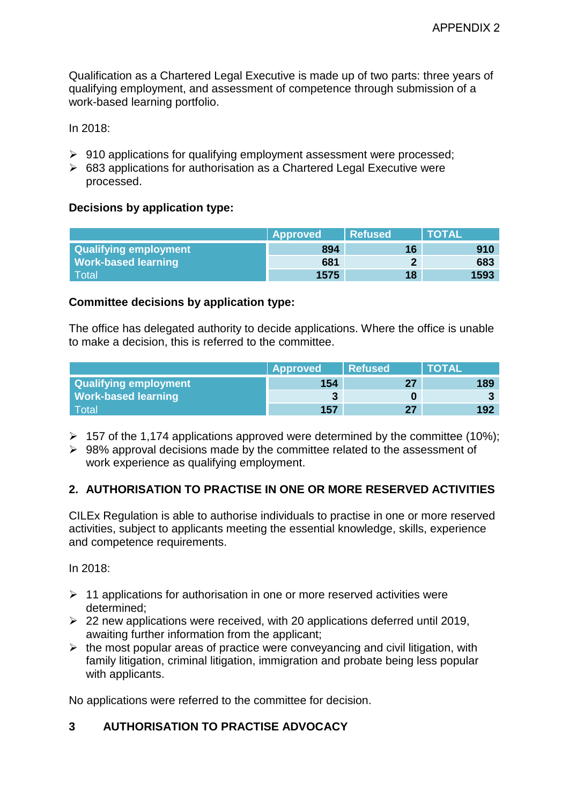Qualification as a Chartered Legal Executive is made up of two parts: three years of qualifying employment, and assessment of competence through submission of a work-based learning portfolio.

In 2018:

- $\triangleright$  910 applications for qualifying employment assessment were processed;
- $\geq$  683 applications for authorisation as a Chartered Legal Executive were processed.

### **Decisions by application type:**

|                              | Approved | <b>Refused</b> | <b>NTOTAL</b> |
|------------------------------|----------|----------------|---------------|
| <b>Qualifying employment</b> | 894      | 16             | 910           |
| <b>Work-based learning</b>   | 681      |                | 683           |
| <b>Total</b>                 | 1575     | 18             | 1593          |

### **Committee decisions by application type:**

The office has delegated authority to decide applications. Where the office is unable to make a decision, this is referred to the committee.

|                              | <b>Approved</b> | Refused | <b>TOTAL</b> |
|------------------------------|-----------------|---------|--------------|
| <b>Qualifying employment</b> | 154             |         |              |
| <b>Work-based learning</b>   |                 |         |              |
| <b>Total</b>                 | 157             |         | 192          |

- $\geq 157$  of the 1,174 applications approved were determined by the committee (10%);
- $\geq$  98% approval decisions made by the committee related to the assessment of work experience as qualifying employment.

# **2. AUTHORISATION TO PRACTISE IN ONE OR MORE RESERVED ACTIVITIES**

CILEx Regulation is able to authorise individuals to practise in one or more reserved activities, subject to applicants meeting the essential knowledge, skills, experience and competence requirements.

In 2018:

- $\geq 11$  applications for authorisation in one or more reserved activities were determined;
- $\geq$  22 new applications were received, with 20 applications deferred until 2019, awaiting further information from the applicant;
- $\triangleright$  the most popular areas of practice were conveyancing and civil litigation, with family litigation, criminal litigation, immigration and probate being less popular with applicants.

No applications were referred to the committee for decision.

# **3 AUTHORISATION TO PRACTISE ADVOCACY**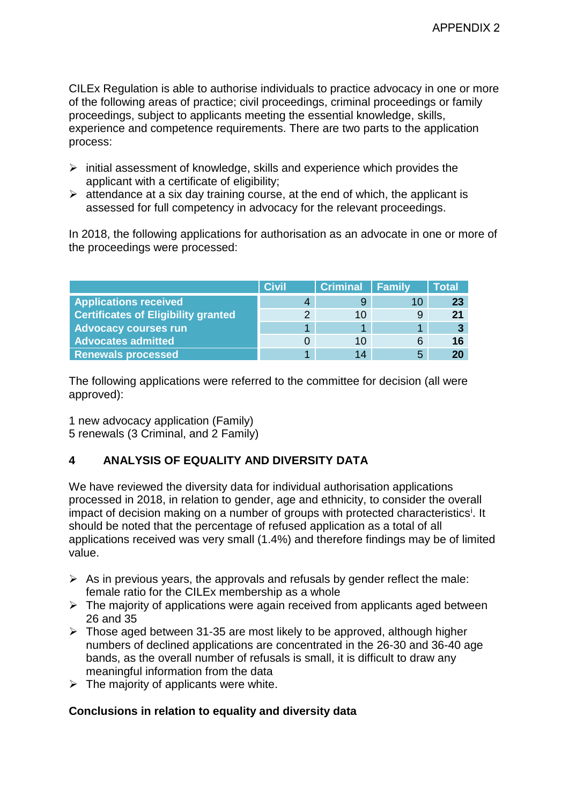CILEx Regulation is able to authorise individuals to practice advocacy in one or more of the following areas of practice; civil proceedings, criminal proceedings or family proceedings, subject to applicants meeting the essential knowledge, skills, experience and competence requirements. There are two parts to the application process:

- $\triangleright$  initial assessment of knowledge, skills and experience which provides the applicant with a certificate of eligibility;
- $\triangleright$  attendance at a six day training course, at the end of which, the applicant is assessed for full competency in advocacy for the relevant proceedings.

In 2018, the following applications for authorisation as an advocate in one or more of the proceedings were processed:

|                                            | <b>Civil</b> | <b>Criminal Family</b> |   | Total |
|--------------------------------------------|--------------|------------------------|---|-------|
| <b>Applications received</b>               | 4            |                        |   | -23   |
| <b>Certificates of Eligibility granted</b> |              | 10                     |   |       |
| <b>Advocacy courses run</b>                |              |                        |   |       |
| <b>Advocates admitted</b>                  |              | 10                     | 6 | 16    |
| <b>Renewals processed</b>                  |              | 14                     | 5 |       |

The following applications were referred to the committee for decision (all were approved):

1 new advocacy application (Family) 5 renewals (3 Criminal, and 2 Family)

# **4 ANALYSIS OF EQUALITY AND DIVERSITY DATA**

We have reviewed the diversity data for individual authorisation applications processed in 2018, in relation to gender, age and ethnicity, to consider the overall [i](#page-6-0)mpact of decision making on a number of groups with protected characteristics<sup>i</sup>. It should be noted that the percentage of refused application as a total of all applications received was very small (1.4%) and therefore findings may be of limited value.

- $\triangleright$  As in previous years, the approvals and refusals by gender reflect the male: female ratio for the CILEx membership as a whole
- $\triangleright$  The majority of applications were again received from applicants aged between 26 and 35
- $\triangleright$  Those aged between 31-35 are most likely to be approved, although higher numbers of declined applications are concentrated in the 26-30 and 36-40 age bands, as the overall number of refusals is small, it is difficult to draw any meaningful information from the data
- $\triangleright$  The majority of applicants were white.

# **Conclusions in relation to equality and diversity data**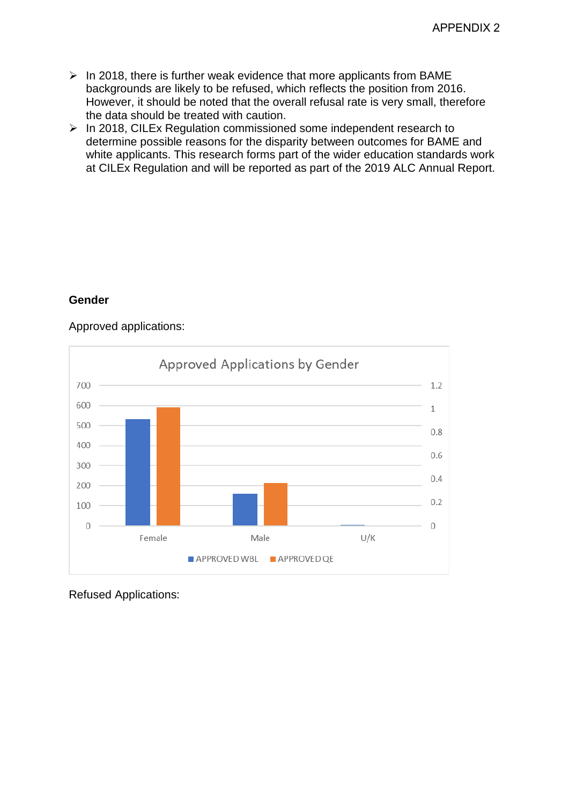- $\triangleright$  In 2018, there is further weak evidence that more applicants from BAME backgrounds are likely to be refused, which reflects the position from 2016. However, it should be noted that the overall refusal rate is very small, therefore the data should be treated with caution.
- $\triangleright$  In 2018, CILEx Regulation commissioned some independent research to determine possible reasons for the disparity between outcomes for BAME and white applicants. This research forms part of the wider education standards work at CILEx Regulation and will be reported as part of the 2019 ALC Annual Report.

# **Gender**

### Approved applications:



Refused Applications: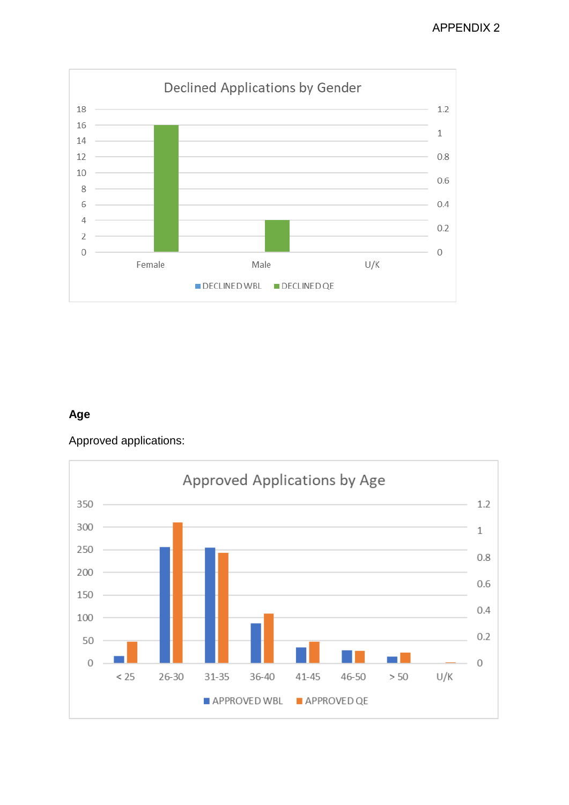

# **Age**

Approved applications:

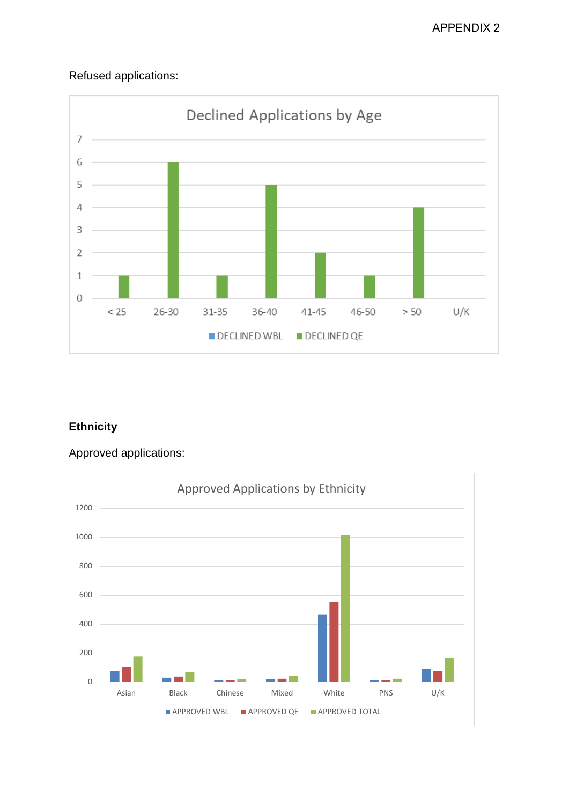# Refused applications:



# **Ethnicity**

Approved applications:

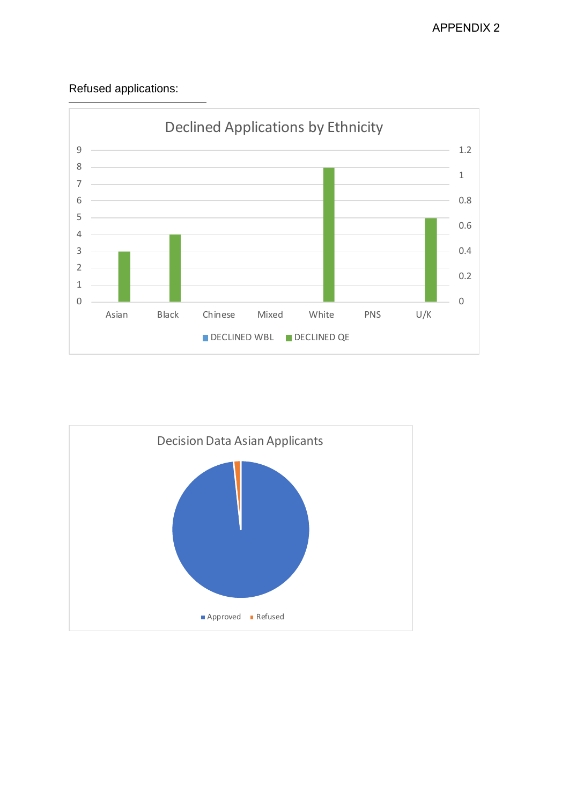# Refused applications:

<span id="page-6-0"></span>